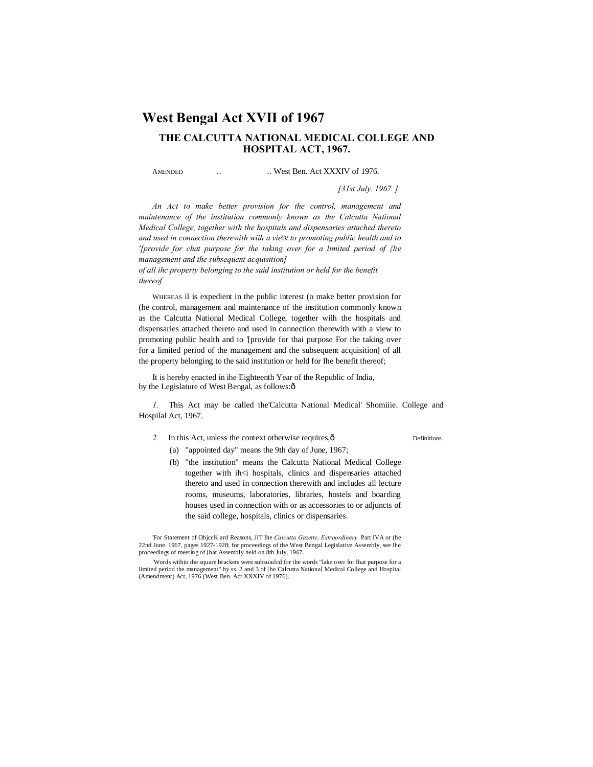# **West Bengal Act XVII of 1967**

## **THE CALCUTTA NATIONAL MEDICAL COLLEGE AND HOSPITAL ACT, 1967.**

AMENDED ... West Ben. Act XXXIV of 1976.

*[31st July. 1967. ]*

*An Act to make better provision for the control, management and maintenance of the institution commonly known as the Calcutta National Medical College, together with the hospitals and dispensaries attached thereto and used in connection therewith wiih a vie*iv *to promoting public health and to '[provide for chat purpose for the taking over for a limited period of {lie management and the subsequent acquisition]*

*of all ihc property belonging to the said institution or held for the benefit thereof*

WHEREAS il is expedient in the public interest (o make better provision for (he control, management and maintenance of the institution commonly known as the Calcutta National Medical College, together wilh the hospitals and dispensaries attached thereto and used in connection therewith with a view to promoting public health and to '[provide for thai purpose For the taking over for a limited period of the management and the subsequent acquisition] of all the property belonging to the said institution or held for Ihe benefit thereof;

It is hereby enacted in ihe Eighteenth Year of the Republic of India, by the Legislature of West Bengal, as follows: $\hat{o}$ 

*1.* This Act may be called the'Calcutta National Medical' Shomiiie. College and Hospilal Act, 1967.

2. In this Act, unless the context otherwise requires,  $\hat{O}$  Definitions

- (a) "appointed day" means the 9th day of June, 1967;
- (b) "the institution" means the Calcutta National Medical College together with ih<i hospitals, clinics and dispensaries attached thereto and used in connection therewith and includes all lecture rooms, museums, laboratories, libraries, hostels and boarding houses used in connection with or as accessories to or adjuncts of the said college, hospitals, clinics or dispensaries.

'For Statement of ObjccK ard Reasons, JIT Ihe *Calcutta Gazette, Extraordinary.* Part IVA or (he 22nd June. 1967, pages 1927-1928; for proceedings of the West Bengal Legislative Assembly, see Ihe proceedings of meeting of [hat Assembly held on 8th July, 1967.

! Words within the square brackets were subsuiulcd for the words "lake over for lhat purpose for a limited period the management" by ss. 2 and 3 of [he Calcutta National Medical College and Hospital (Amendment) Act, 1976 (West Ben. Act XXXIV of 1976).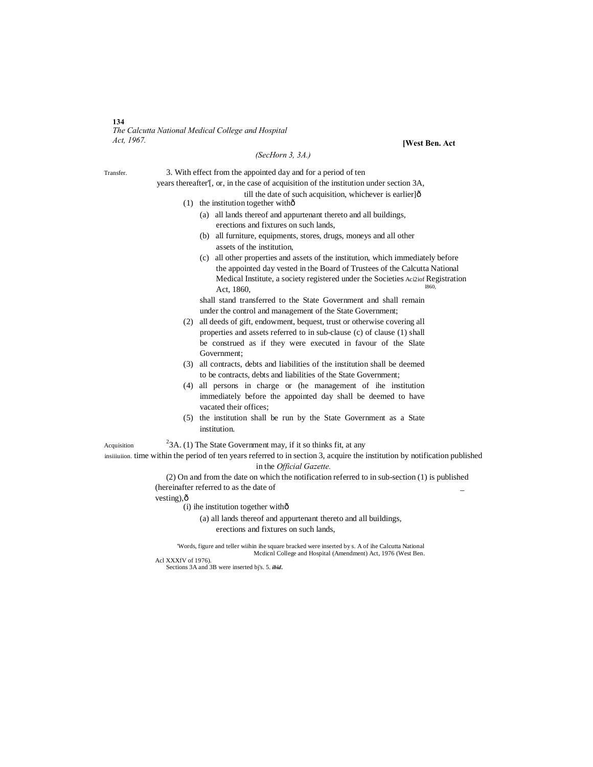#### **134** *The Calcutta National Medical College and Hospital Act, 1967.* **[West Ben. Act**

### *(SecHorn 3, 3A.)*

**Acquisition** 

Transfer. 3. With effect from the appointed day and for a period of ten

years thereafter'[, or, in the case of acquisition of the institution under section 3A,

- till the date of such acquisition, whichever is earlier] $\hat{0}$
- (1) the institution together with $\hat{0}$ 
	- (a) all lands thereof and appurtenant thereto and all buildings, erections and fixtures on such lands,
	- (b) all furniture, equipments, stores, drugs, moneys and all other assets of the institution,
	- (c) all other properties and assets of the institution, which immediately before the appointed day vested in the Board of Trustees of the Calcutta National Medical Institute, a society registered under the Societies Aci2iof Registration Act, 1860,

shall stand transferred to the State Government and shall remain under the control and management of the State Government;

- (2) all deeds of gift, endowment, bequest, trust or otherwise covering all properties and assets referred to in sub-clause (c) of clause (1) shall be construed as if they were executed in favour of the Slate Government;
- (3) all contracts, debts and liabilities of the institution shall be deemed to be contracts, debts and liabilities of the State Government;
- (4) all persons in charge or (he management of ihe institution immediately before the appointed day shall be deemed to have vacated their offices;
- (5) the institution shall be run by the State Government as a State institution.

 $23A$ . (1) The State Government may, if it so thinks fit, at any

insiiiuiion. time within the period of ten years referred to in section 3, acquire the institution by notification published in the *Official Gazette.*

(2) On and from the date on which the notification referred to in sub-section (1) is published (hereinafter referred to as the date of \_

vesting), $\hat{o}$ 

 $(i)$  ihe institution together with $\hat{o}$ 

(a) all lands thereof and appurtenant thereto and all buildings, erections and fixtures on such lands,

'Words, figure and teller wiihin ihe square bracked were inserted by s. A of ihe Calcutta National Mcdicnl College and Hospital (Amendment) Act, 1976 (West Ben.

Acl XXXfV of 1976).

Sections 3A and 3B were inserted bj's. 5. *ibid.*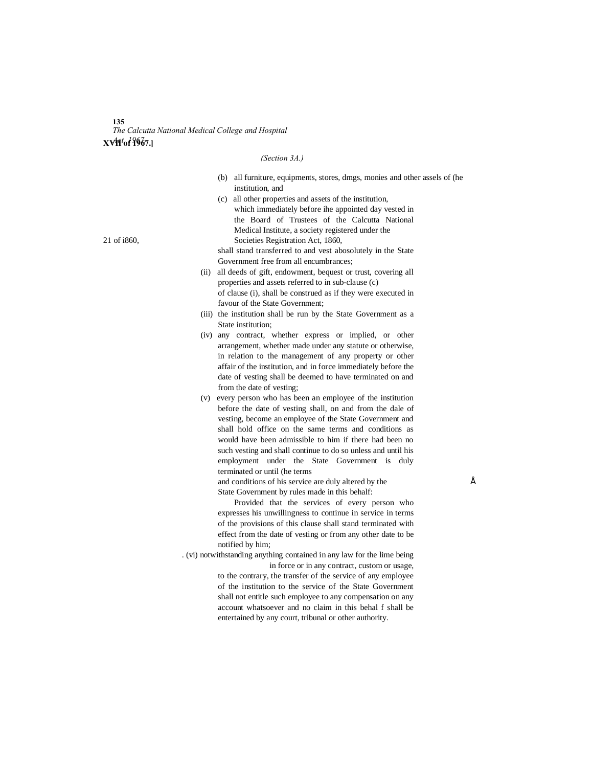#### **135** *The Calcutta National Medical College and Hospital* **XVII of 1967.]** *Act, 1967.*

#### *(Section 3A.)*

- (b) all furniture, equipments, stores, dmgs, monies and other assels of (he institution, and
- (c) all other properties and assets of the institution, which immediately before ihe appointed day vested in the Board of Trustees of the Calcutta National Medical Institute, a society registered under the 21 of i860, Societies Registration Act, 1860,

shall stand transferred to and vest abosolutely in the State Government free from all encumbrances;

- (ii) all deeds of gift, endowment, bequest or trust, covering all properties and assets referred to in sub-clause (c) of clause (i), shall be construed as if they were executed in favour of the State Government;
- (iii) the institution shall be run by the State Government as a State institution;
- (iv) any contract, whether express or implied, or other arrangement, whether made under any statute or otherwise, in relation to the management of any property or other affair of the institution, and in force immediately before the date of vesting shall be deemed to have terminated on and from the date of vesting;
- (v) every person who has been an employee of the institution before the date of vesting shall, on and from the dale of vesting, become an employee of the State Government and shall hold office on the same terms and conditions as would have been admissible to him if there had been no such vesting and shall continue to do so unless and until his employment under the State Government is duly terminated or until (he terms

and conditions of his service are duly altered by the  $\acute{E}$ State Government by rules made in this behalf:

Provided that the services of every person who expresses his unwillingness to continue in service in terms of the provisions of this clause shall stand terminated with effect from the date of vesting or from any other date to be notified by him;

. (vi) notwithstanding anything contained in any law for the lime being in force or in any contract, custom or usage,

> to the contrary, the transfer of the service of any employee of the institution to the service of the State Government shall not entitle such employee to any compensation on any account whatsoever and no claim in this behal f shall be entertained by any court, tribunal or other authority.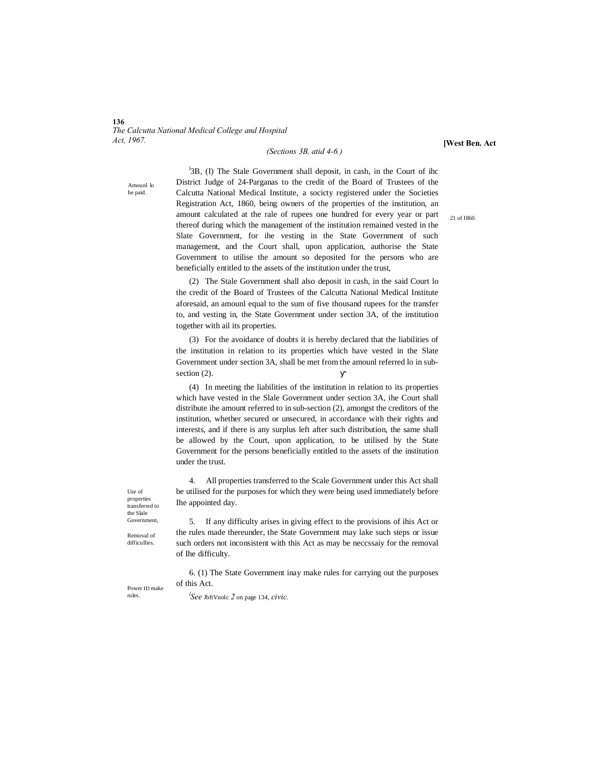**136** *The Calcutta National Medical College and Hospital Act, 1967.*

#### *(Sections 3B, atid 4-6.)*

**[West Ben. Act**

Amounl lo be paid.

<sup>1</sup>3B, (I) The Stale Government shall deposit, in cash, in the Court of ihc District Judge of 24-Parganas to the credit of the Board of Trustees of the Calcutta National Medical Institute, a socicty registered under the Societies Registration Act, 1860, being owners of the properties of the institution, an amount calculated at the rale of rupees one hundred for every year or part thereof during which the management of the institution remained vested in the Slate Government, for ihe vesting in the State Government of such management, and the Court shall, upon application, authorise the State Government to utilise the amount so deposited for the persons who are beneficially entitled to the assets of the institution under the trust,

(2) The Stale Government shall also deposit in cash, in the said Court lo the credit of the Board of Trustees of the Calcutta National Medical Institute aforesaid, an amounl equal to the sum of five thousand rupees for the transfer to, and vesting in, the State Government under section 3A, of the institution together with ail its properties.

(3) For the avoidance of doubts it is hereby declared that the liabilities of the institution in relation to its properties which have vested in the Slate Government under section 3A, shall be met from the amounl referred lo in subsection  $(2)$ .

(4) In meeting the liabilities of the institution in relation to its properties which have vested in the Slale Government under section 3A, ihe Court shall distribute ihe amount referred to in sub-section (2), amongst the creditors of the institution, whether secured or unsecured, in accordance with their rights and interests, and if there is any surplus left after such distribution, the same shall be allowed by the Court, upon application, to be utilised by the State Government for the persons beneficially entitled to the assets of the institution under the trust.

4. All properties transferred to the Scale Government under this Act shall be utilised for the purposes for which they were being used immediately before Ihe appointed day.

Use of properties transferred to the Slale Government,

Removal of difficullies.

5. If any difficulty arises in giving effect to the provisions of ihis Act or the rules made thereunder, the State Government may lake such steps or issue such orders not inconsistent with this Act as may be neccssaiy for the removal of Ihe difficulty.

6. (1) The State Government inay make rules for carrying out the purposes of this Act.

Power ID make rules.

*l See* JbftVnolc *2* on page 134, *civic.*

21 of I860.